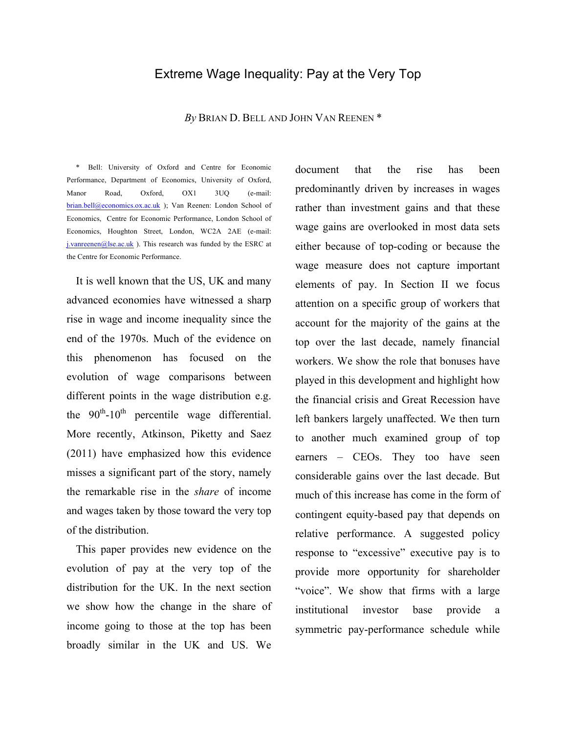## Extreme Wage Inequality: Pay at the Very Top

#### *By* BRIAN D. BELL AND JOHN VAN REENEN \*

\* Bell: University of Oxford and Centre for Economic Performance, Department of Economics, University of Oxford, Manor Road, Oxford, OX1 3UQ (e-mail: brian.bell@economics.ox.ac.uk ); Van Reenen: London School of Economics, Centre for Economic Performance, London School of Economics, Houghton Street, London, WC2A 2AE (e-mail: j.vanreenen@lse.ac.uk ). This research was funded by the ESRC at the Centre for Economic Performance.

It is well known that the US, UK and many advanced economies have witnessed a sharp rise in wage and income inequality since the end of the 1970s. Much of the evidence on this phenomenon has focused on the evolution of wage comparisons between different points in the wage distribution e.g. the  $90<sup>th</sup>$ -10<sup>th</sup> percentile wage differential. More recently, Atkinson, Piketty and Saez (2011) have emphasized how this evidence misses a significant part of the story, namely the remarkable rise in the *share* of income and wages taken by those toward the very top of the distribution.

This paper provides new evidence on the evolution of pay at the very top of the distribution for the UK. In the next section we show how the change in the share of income going to those at the top has been broadly similar in the UK and US. We

document that the rise has been predominantly driven by increases in wages rather than investment gains and that these wage gains are overlooked in most data sets either because of top-coding or because the wage measure does not capture important elements of pay. In Section II we focus attention on a specific group of workers that account for the majority of the gains at the top over the last decade, namely financial workers. We show the role that bonuses have played in this development and highlight how the financial crisis and Great Recession have left bankers largely unaffected. We then turn to another much examined group of top earners – CEOs. They too have seen considerable gains over the last decade. But much of this increase has come in the form of contingent equity-based pay that depends on relative performance. A suggested policy response to "excessive" executive pay is to provide more opportunity for shareholder "voice". We show that firms with a large institutional investor base provide a symmetric pay-performance schedule while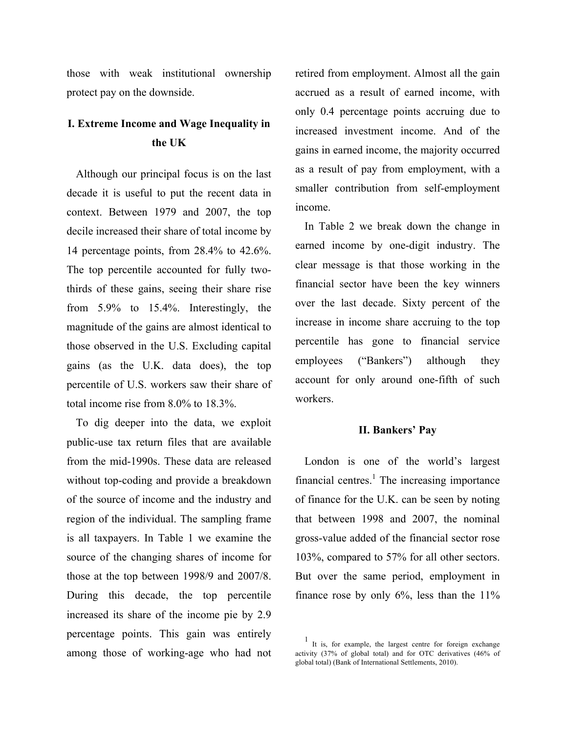those with weak institutional ownership protect pay on the downside.

# **I. Extreme Income and Wage Inequality in the UK**

Although our principal focus is on the last decade it is useful to put the recent data in context. Between 1979 and 2007, the top decile increased their share of total income by 14 percentage points, from 28.4% to 42.6%. The top percentile accounted for fully twothirds of these gains, seeing their share rise from 5.9% to 15.4%. Interestingly, the magnitude of the gains are almost identical to those observed in the U.S. Excluding capital gains (as the U.K. data does), the top percentile of U.S. workers saw their share of total income rise from 8.0% to 18.3%.

To dig deeper into the data, we exploit public-use tax return files that are available from the mid-1990s. These data are released without top-coding and provide a breakdown of the source of income and the industry and region of the individual. The sampling frame is all taxpayers. In Table 1 we examine the source of the changing shares of income for those at the top between 1998/9 and 2007/8. During this decade, the top percentile increased its share of the income pie by 2.9 percentage points. This gain was entirely among those of working-age who had not

retired from employment. Almost all the gain accrued as a result of earned income, with only 0.4 percentage points accruing due to increased investment income. And of the gains in earned income, the majority occurred as a result of pay from employment, with a smaller contribution from self-employment income.

In Table 2 we break down the change in earned income by one-digit industry. The clear message is that those working in the financial sector have been the key winners over the last decade. Sixty percent of the increase in income share accruing to the top percentile has gone to financial service employees ("Bankers") although they account for only around one-fifth of such workers.

#### **II. Bankers' Pay**

London is one of the world's largest financial centres.<sup>1</sup> The increasing importance of finance for the U.K. can be seen by noting that between 1998 and 2007, the nominal gross-value added of the financial sector rose 103%, compared to 57% for all other sectors. But over the same period, employment in finance rose by only  $6\%$ , less than the  $11\%$ 

<sup>1</sup> It is, for example, the largest centre for foreign exchange activity (37% of global total) and for OTC derivatives (46% of global total) (Bank of International Settlements, 2010).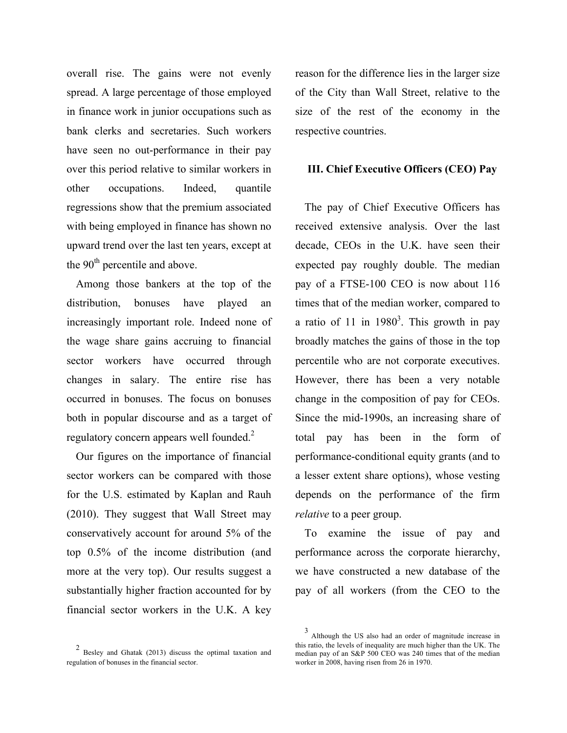overall rise. The gains were not evenly spread. A large percentage of those employed in finance work in junior occupations such as bank clerks and secretaries. Such workers have seen no out-performance in their pay over this period relative to similar workers in other occupations. Indeed, quantile regressions show that the premium associated with being employed in finance has shown no upward trend over the last ten years, except at the 90<sup>th</sup> percentile and above.

Among those bankers at the top of the distribution, bonuses have played an increasingly important role. Indeed none of the wage share gains accruing to financial sector workers have occurred through changes in salary. The entire rise has occurred in bonuses. The focus on bonuses both in popular discourse and as a target of regulatory concern appears well founded.<sup>2</sup>

Our figures on the importance of financial sector workers can be compared with those for the U.S. estimated by Kaplan and Rauh (2010). They suggest that Wall Street may conservatively account for around 5% of the top 0.5% of the income distribution (and more at the very top). Our results suggest a substantially higher fraction accounted for by financial sector workers in the U.K. A key

2 Besley and Ghatak (2013) discuss the optimal taxation and regulation of bonuses in the financial sector.

reason for the difference lies in the larger size of the City than Wall Street, relative to the size of the rest of the economy in the respective countries.

#### **III. Chief Executive Officers (CEO) Pay**

The pay of Chief Executive Officers has received extensive analysis. Over the last decade, CEOs in the U.K. have seen their expected pay roughly double. The median pay of a FTSE-100 CEO is now about 116 times that of the median worker, compared to a ratio of 11 in  $1980<sup>3</sup>$ . This growth in pay broadly matches the gains of those in the top percentile who are not corporate executives. However, there has been a very notable change in the composition of pay for CEOs. Since the mid-1990s, an increasing share of total pay has been in the form of performance-conditional equity grants (and to a lesser extent share options), whose vesting depends on the performance of the firm *relative* to a peer group.

To examine the issue of pay and performance across the corporate hierarchy, we have constructed a new database of the pay of all workers (from the CEO to the

Although the US also had an order of magnitude increase in this ratio, the levels of inequality are much higher than the UK. The median pay of an S&P 500 CEO was 240 times that of the median worker in 2008, having risen from 26 in 1970.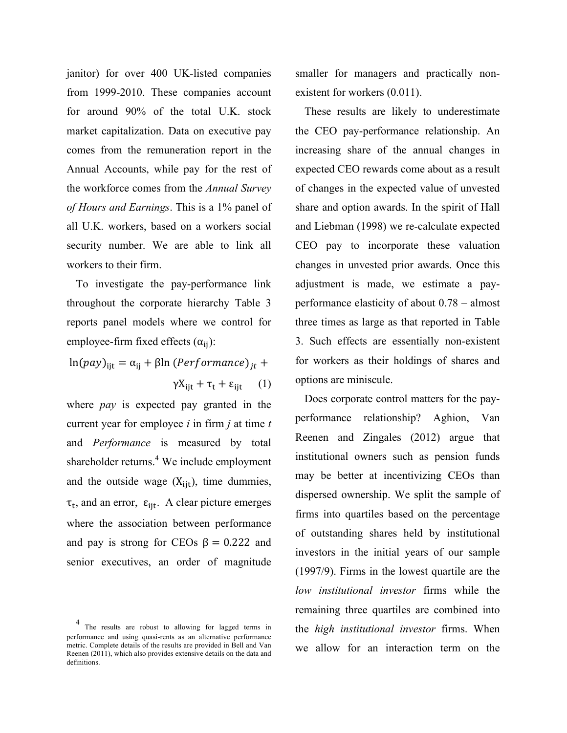janitor) for over 400 UK-listed companies from 1999-2010. These companies account for around 90% of the total U.K. stock market capitalization. Data on executive pay comes from the remuneration report in the Annual Accounts, while pay for the rest of the workforce comes from the *Annual Survey of Hours and Earnings*. This is a 1% panel of all U.K. workers, based on a workers social security number. We are able to link all workers to their firm.

To investigate the pay-performance link throughout the corporate hierarchy Table 3 reports panel models where we control for employee-firm fixed effects  $(\alpha_{ii})$ :

 $\ln (pay)_{\text{jit}} = \alpha_{\text{ii}} + \beta \ln (Performance)_{it} +$  $\gamma X_{\text{iit}} + \tau_t + \varepsilon_{\text{iit}}$  (1)

where *pay* is expected pay granted in the current year for employee *i* in firm *j* at time *t* and *Performance* is measured by total shareholder returns.<sup>4</sup> We include employment and the outside wage  $(X_{\text{iit}})$ , time dummies,  $\tau_t$ , and an error,  $\varepsilon_{ijt}$ . A clear picture emerges where the association between performance and pay is strong for CEOs  $\beta = 0.222$  and senior executives, an order of magnitude

4 The results are robust to allowing for lagged terms in performance and using quasi-rents as an alternative performance metric. Complete details of the results are provided in Bell and Van Reenen (2011), which also provides extensive details on the data and definitions.

smaller for managers and practically nonexistent for workers (0.011).

These results are likely to underestimate the CEO pay-performance relationship. An increasing share of the annual changes in expected CEO rewards come about as a result of changes in the expected value of unvested share and option awards. In the spirit of Hall and Liebman (1998) we re-calculate expected CEO pay to incorporate these valuation changes in unvested prior awards. Once this adjustment is made, we estimate a payperformance elasticity of about 0.78 – almost three times as large as that reported in Table 3. Such effects are essentially non-existent for workers as their holdings of shares and options are miniscule.

Does corporate control matters for the payperformance relationship? Aghion, Van Reenen and Zingales (2012) argue that institutional owners such as pension funds may be better at incentivizing CEOs than dispersed ownership. We split the sample of firms into quartiles based on the percentage of outstanding shares held by institutional investors in the initial years of our sample (1997/9). Firms in the lowest quartile are the *low institutional investor* firms while the remaining three quartiles are combined into the *high institutional investor* firms. When we allow for an interaction term on the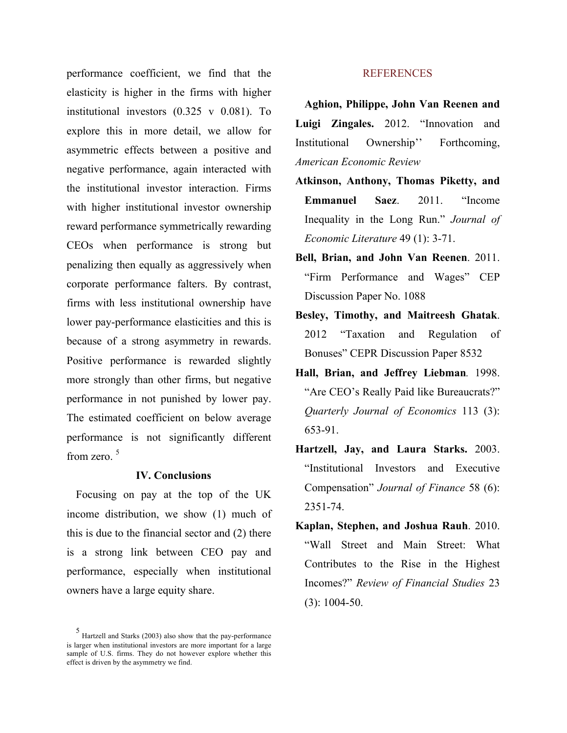performance coefficient, we find that the elasticity is higher in the firms with higher institutional investors (0.325 v 0.081). To explore this in more detail, we allow for asymmetric effects between a positive and negative performance, again interacted with the institutional investor interaction. Firms with higher institutional investor ownership reward performance symmetrically rewarding CEOs when performance is strong but penalizing then equally as aggressively when corporate performance falters. By contrast, firms with less institutional ownership have lower pay-performance elasticities and this is because of a strong asymmetry in rewards. Positive performance is rewarded slightly more strongly than other firms, but negative performance in not punished by lower pay. The estimated coefficient on below average performance is not significantly different from zero.<sup>5</sup>

### **IV. Conclusions**

Focusing on pay at the top of the UK income distribution, we show (1) much of this is due to the financial sector and (2) there is a strong link between CEO pay and performance, especially when institutional owners have a large equity share.

#### **REFERENCES**

**Aghion, Philippe, John Van Reenen and Luigi Zingales.** 2012. "Innovation and Institutional Ownership'' Forthcoming, *American Economic Review*

- **Atkinson, Anthony, Thomas Piketty, and Emmanuel Saez**. 2011. "Income Inequality in the Long Run." *Journal of Economic Literature* 49 (1): 3-71.
- **Bell, Brian, and John Van Reenen**. 2011. "Firm Performance and Wages" CEP Discussion Paper No. 1088
- **Besley, Timothy, and Maitreesh Ghatak**. 2012 "Taxation and Regulation of Bonuses" CEPR Discussion Paper 8532
- **Hall, Brian, and Jeffrey Liebman***.* 1998. "Are CEO's Really Paid like Bureaucrats?" *Quarterly Journal of Economics* 113 (3): 653-91.
- **Hartzell, Jay, and Laura Starks.** 2003. "Institutional Investors and Executive Compensation" *Journal of Finance* 58 (6): 2351-74.
- **Kaplan, Stephen, and Joshua Rauh**. 2010. "Wall Street and Main Street: What Contributes to the Rise in the Highest Incomes?" *Review of Financial Studies* 23 (3): 1004-50.

<sup>5</sup> Hartzell and Starks (2003) also show that the pay-performance is larger when institutional investors are more important for a large sample of U.S. firms. They do not however explore whether this effect is driven by the asymmetry we find.